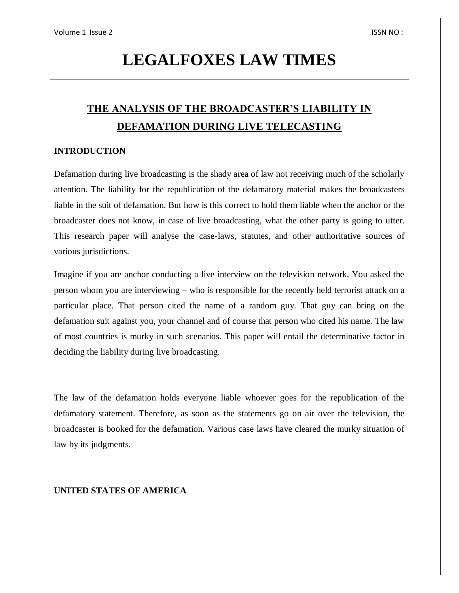# **LEGALFOXES LAW TIMES**

# **THE ANALYSIS OF THE BROADCASTER'S LIABILITY IN DEFAMATION DURING LIVE TELECASTING**

# **INTRODUCTION**

Defamation during live broadcasting is the shady area of law not receiving much of the scholarly attention. The liability for the republication of the defamatory material makes the broadcasters liable in the suit of defamation. But how is this correct to hold them liable when the anchor or the broadcaster does not know, in case of live broadcasting, what the other party is going to utter. This research paper will analyse the case-laws, statutes, and other authoritative sources of various jurisdictions.

Imagine if you are anchor conducting a live interview on the television network. You asked the person whom you are interviewing – who is responsible for the recently held terrorist attack on a particular place. That person cited the name of a random guy. That guy can bring on the defamation suit against you, your channel and of course that person who cited his name. The law of most countries is murky in such scenarios. This paper will entail the determinative factor in deciding the liability during live broadcasting.

The law of the defamation holds everyone liable whoever goes for the republication of the defamatory statement. Therefore, as soon as the statements go on air over the television, the broadcaster is booked for the defamation. Various case laws have cleared the murky situation of law by its judgments.

# **UNITED STATES OF AMERICA**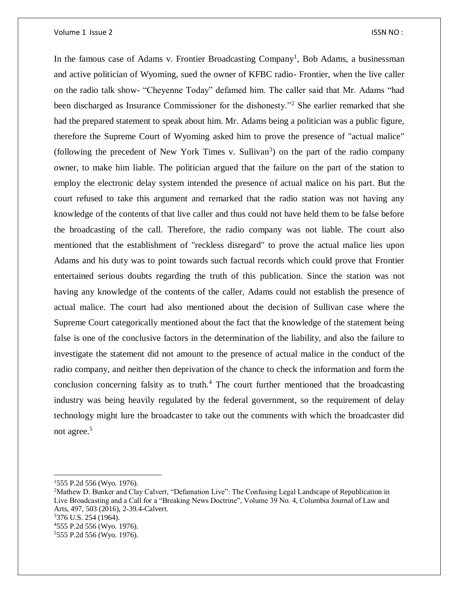#### Volume 1 Issue 2 ISSN NO :

In the famous case of Adams v. Frontier Broadcasting Company<sup>1</sup>, Bob Adams, a businessman and active politician of Wyoming, sued the owner of KFBC radio- Frontier, when the live caller on the radio talk show- "Cheyenne Today" defamed him. The caller said that Mr. Adams "had been discharged as Insurance Commissioner for the dishonesty."<sup>2</sup> She earlier remarked that she had the prepared statement to speak about him. Mr. Adams being a politician was a public figure, therefore the Supreme Court of Wyoming asked him to prove the presence of "actual malice" (following the precedent of New York Times v. Sullivan<sup>3</sup>) on the part of the radio company owner, to make him liable. The politician argued that the failure on the part of the station to employ the electronic delay system intended the presence of actual malice on his part. But the court refused to take this argument and remarked that the radio station was not having any knowledge of the contents of that live caller and thus could not have held them to be false before the broadcasting of the call. Therefore, the radio company was not liable. The court also mentioned that the establishment of "reckless disregard" to prove the actual malice lies upon Adams and his duty was to point towards such factual records which could prove that Frontier entertained serious doubts regarding the truth of this publication. Since the station was not having any knowledge of the contents of the caller, Adams could not establish the presence of actual malice. The court had also mentioned about the decision of Sullivan case where the Supreme Court categorically mentioned about the fact that the knowledge of the statement being false is one of the conclusive factors in the determination of the liability, and also the failure to investigate the statement did not amount to the presence of actual malice in the conduct of the radio company, and neither then deprivation of the chance to check the information and form the conclusion concerning falsity as to truth.<sup>4</sup> The court further mentioned that the broadcasting industry was being heavily regulated by the federal government, so the requirement of delay technology might lure the broadcaster to take out the comments with which the broadcaster did not agree.<sup>5</sup>

 $\overline{\phantom{a}}$ 

<sup>1</sup>555 P.2d 556 (Wyo. 1976).

<sup>&</sup>lt;sup>2</sup>Mathew D. Bunker and Clay Calvert, "Defamation Live": The Confusing Legal Landscape of Republication in Live Broadcasting and a Call for a "Breaking News Doctrine", Volume 39 No. 4, Columbia Journal of Law and Arts, 497, 503 (2016), 2-39.4-Calvert. <sup>3</sup>376 U.S. 254 (1964).

<sup>4</sup>555 P.2d 556 (Wyo. 1976).

<sup>5</sup>555 P.2d 556 (Wyo. 1976).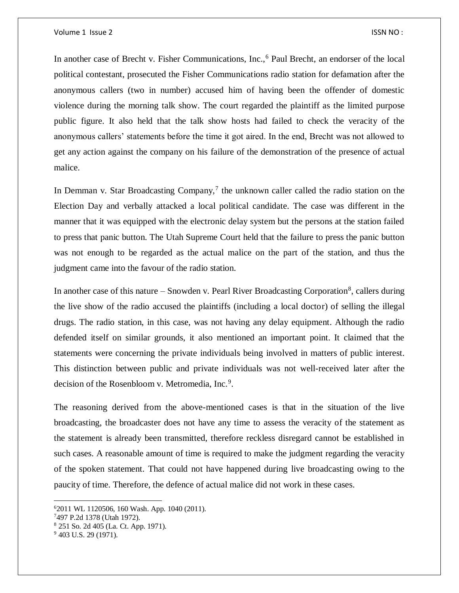In another case of Brecht v. Fisher Communications, Inc.,<sup>6</sup> Paul Brecht, an endorser of the local political contestant, prosecuted the Fisher Communications radio station for defamation after the anonymous callers (two in number) accused him of having been the offender of domestic violence during the morning talk show. The court regarded the plaintiff as the limited purpose public figure. It also held that the talk show hosts had failed to check the veracity of the anonymous callers' statements before the time it got aired. In the end, Brecht was not allowed to get any action against the company on his failure of the demonstration of the presence of actual malice.

In Demman v. Star Broadcasting Company,<sup>7</sup> the unknown caller called the radio station on the Election Day and verbally attacked a local political candidate. The case was different in the manner that it was equipped with the electronic delay system but the persons at the station failed to press that panic button. The Utah Supreme Court held that the failure to press the panic button was not enough to be regarded as the actual malice on the part of the station, and thus the judgment came into the favour of the radio station.

In another case of this nature – Snowden v. Pearl River Broadcasting Corporation<sup>8</sup>, callers during the live show of the radio accused the plaintiffs (including a local doctor) of selling the illegal drugs. The radio station, in this case, was not having any delay equipment. Although the radio defended itself on similar grounds, it also mentioned an important point. It claimed that the statements were concerning the private individuals being involved in matters of public interest. This distinction between public and private individuals was not well-received later after the decision of the Rosenbloom v. Metromedia, Inc.<sup>9</sup>.

The reasoning derived from the above-mentioned cases is that in the situation of the live broadcasting, the broadcaster does not have any time to assess the veracity of the statement as the statement is already been transmitted, therefore reckless disregard cannot be established in such cases. A reasonable amount of time is required to make the judgment regarding the veracity of the spoken statement. That could not have happened during live broadcasting owing to the paucity of time. Therefore, the defence of actual malice did not work in these cases.

 $\overline{a}$ 

<sup>6</sup>2011 WL 1120506, 160 Wash. App. 1040 (2011).

<sup>7</sup>497 P.2d 1378 (Utah 1972).

<sup>8</sup> 251 So. 2d 405 (La. Ct. App. 1971).

<sup>&</sup>lt;sup>9</sup> 403 U.S. 29 (1971).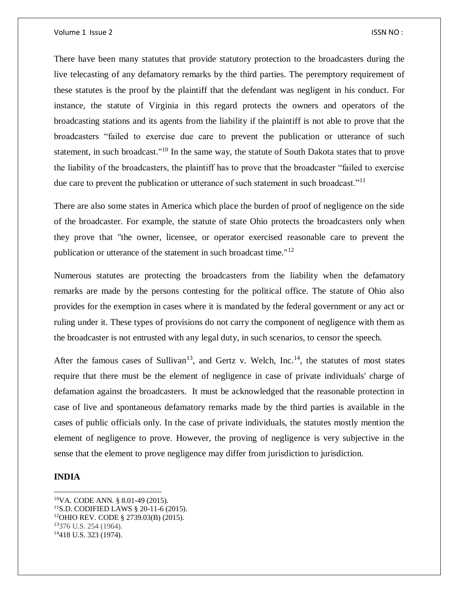There have been many statutes that provide statutory protection to the broadcasters during the live telecasting of any defamatory remarks by the third parties. The peremptory requirement of these statutes is the proof by the plaintiff that the defendant was negligent in his conduct. For instance, the statute of Virginia in this regard protects the owners and operators of the broadcasting stations and its agents from the liability if the plaintiff is not able to prove that the broadcasters "failed to exercise due care to prevent the publication or utterance of such statement, in such broadcast."<sup>10</sup> In the same way, the statute of South Dakota states that to prove the liability of the broadcasters, the plaintiff has to prove that the broadcaster "failed to exercise due care to prevent the publication or utterance of such statement in such broadcast."<sup>11</sup>

There are also some states in America which place the burden of proof of negligence on the side of the broadcaster. For example, the statute of state Ohio protects the broadcasters only when they prove that "the owner, licensee, or operator exercised reasonable care to prevent the publication or utterance of the statement in such broadcast time."<sup>12</sup>

Numerous statutes are protecting the broadcasters from the liability when the defamatory remarks are made by the persons contesting for the political office. The statute of Ohio also provides for the exemption in cases where it is mandated by the federal government or any act or ruling under it. These types of provisions do not carry the component of negligence with them as the broadcaster is not entrusted with any legal duty, in such scenarios, to censor the speech.

After the famous cases of Sullivan<sup>13</sup>, and Gertz v. Welch, Inc.<sup>14</sup>, the statutes of most states require that there must be the element of negligence in case of private individuals' charge of defamation against the broadcasters. It must be acknowledged that the reasonable protection in case of live and spontaneous defamatory remarks made by the third parties is available in the cases of public officials only. In the case of private individuals, the statutes mostly mention the element of negligence to prove. However, the proving of negligence is very subjective in the sense that the element to prove negligence may differ from jurisdiction to jurisdiction.

### **INDIA**

 $\overline{\phantom{a}}$ 

<sup>10</sup>VA. CODE ANN. § 8.01-49 (2015). <sup>11</sup>S.D. CODIFIED LAWS § 20-11-6 (2015). <sup>12</sup>OHIO REV. CODE § 2739.03(B) (2015). <sup>13</sup>376 U.S. 254 (1964). 14418 U.S. 323 (1974).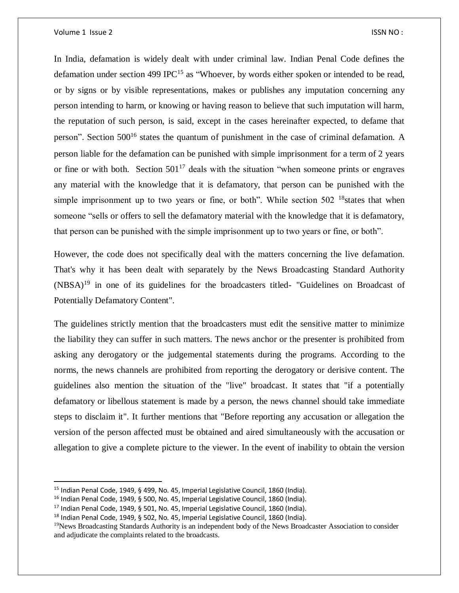#### Volume 1 Issue 2 ISSN NO :

 $\overline{\phantom{a}}$ 

In India, defamation is widely dealt with under criminal law. Indian Penal Code defines the defamation under section 499 IPC<sup>15</sup> as "Whoever, by words either spoken or intended to be read, or by signs or by visible representations, makes or publishes any imputation concerning any person intending to harm, or knowing or having reason to believe that such imputation will harm, the reputation of such person, is said, except in the cases hereinafter expected, to defame that person". Section 500<sup>16</sup> states the quantum of punishment in the case of criminal defamation. A person liable for the defamation can be punished with simple imprisonment for a term of 2 years or fine or with both. Section  $501^{17}$  deals with the situation "when someone prints or engraves" any material with the knowledge that it is defamatory, that person can be punished with the simple imprisonment up to two years or fine, or both". While section  $502<sup>18</sup>$  states that when someone "sells or offers to sell the defamatory material with the knowledge that it is defamatory, that person can be punished with the simple imprisonment up to two years or fine, or both".

However, the code does not specifically deal with the matters concerning the live defamation. That's why it has been dealt with separately by the News Broadcasting Standard Authority  $(NBSA)^{19}$  in one of its guidelines for the broadcasters titled- "Guidelines on Broadcast of Potentially Defamatory Content".

The guidelines strictly mention that the broadcasters must edit the sensitive matter to minimize the liability they can suffer in such matters. The news anchor or the presenter is prohibited from asking any derogatory or the judgemental statements during the programs. According to the norms, the news channels are prohibited from reporting the derogatory or derisive content. The guidelines also mention the situation of the "live" broadcast. It states that "if a potentially defamatory or libellous statement is made by a person, the news channel should take immediate steps to disclaim it". It further mentions that "Before reporting any accusation or allegation the version of the person affected must be obtained and aired simultaneously with the accusation or allegation to give a complete picture to the viewer. In the event of inability to obtain the version

<sup>15</sup> Indian Penal Code, 1949, § 499, No. 45, Imperial Legislative Council, 1860 (India).

<sup>16</sup> Indian Penal Code, 1949, § 500, No. 45, Imperial Legislative Council, 1860 (India).

<sup>17</sup> Indian Penal Code, 1949, § 501, No. 45, Imperial Legislative Council, 1860 (India).

 $18$  Indian Penal Code, 1949, § 502, No. 45, Imperial Legislative Council, 1860 (India).

<sup>&</sup>lt;sup>19</sup>News Broadcasting Standards Authority is an independent body of the News Broadcaster Association to consider and adjudicate the complaints related to the broadcasts.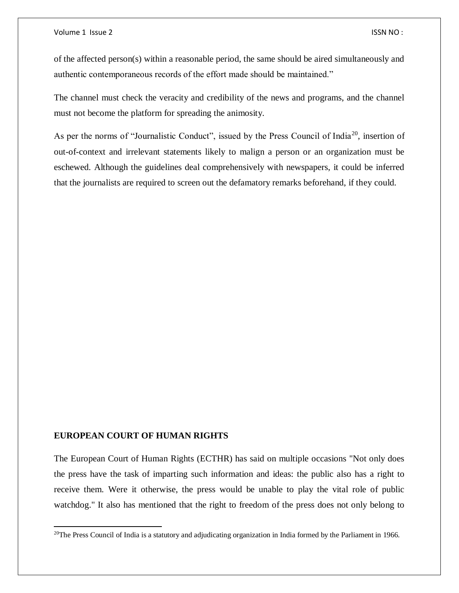of the affected person(s) within a reasonable period, the same should be aired simultaneously and authentic contemporaneous records of the effort made should be maintained."

The channel must check the veracity and credibility of the news and programs, and the channel must not become the platform for spreading the animosity.

As per the norms of "Journalistic Conduct", issued by the Press Council of India<sup>20</sup>, insertion of out-of-context and irrelevant statements likely to malign a person or an organization must be eschewed. Although the guidelines deal comprehensively with newspapers, it could be inferred that the journalists are required to screen out the defamatory remarks beforehand, if they could.

#### **EUROPEAN COURT OF HUMAN RIGHTS**

 $\overline{a}$ 

The European Court of Human Rights (ECTHR) has said on multiple occasions "Not only does the press have the task of imparting such information and ideas: the public also has a right to receive them. Were it otherwise, the press would be unable to play the vital role of public watchdog." It also has mentioned that the right to freedom of the press does not only belong to

<sup>&</sup>lt;sup>20</sup>The Press Council of India is a statutory and adjudicating organization in India formed by the Parliament in 1966.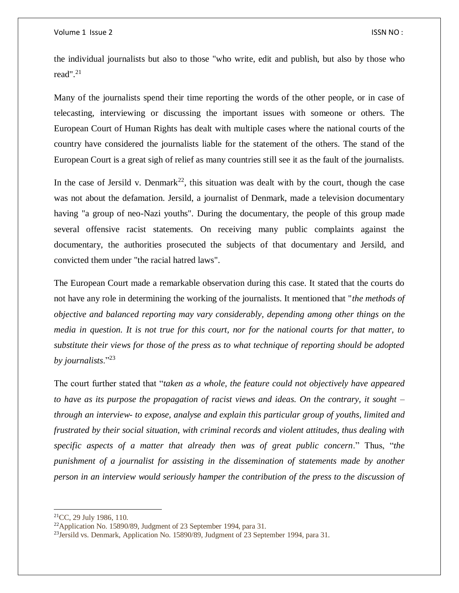the individual journalists but also to those "who write, edit and publish, but also by those who read". $^{21}$ 

Many of the journalists spend their time reporting the words of the other people, or in case of telecasting, interviewing or discussing the important issues with someone or others. The European Court of Human Rights has dealt with multiple cases where the national courts of the country have considered the journalists liable for the statement of the others. The stand of the European Court is a great sigh of relief as many countries still see it as the fault of the journalists.

In the case of Jersild v. Denmark<sup>22</sup>, this situation was dealt with by the court, though the case was not about the defamation. Jersild, a journalist of Denmark, made a television documentary having "a group of neo-Nazi youths". During the documentary, the people of this group made several offensive racist statements. On receiving many public complaints against the documentary, the authorities prosecuted the subjects of that documentary and Jersild, and convicted them under "the racial hatred laws".

The European Court made a remarkable observation during this case. It stated that the courts do not have any role in determining the working of the journalists. It mentioned that "*the methods of objective and balanced reporting may vary considerably, depending among other things on the media in question. It is not true for this court, nor for the national courts for that matter, to substitute their views for those of the press as to what technique of reporting should be adopted by journalists*."<sup>23</sup>

The court further stated that "*taken as a whole, the feature could not objectively have appeared to have as its purpose the propagation of racist views and ideas. On the contrary, it sought – through an interview- to expose, analyse and explain this particular group of youths, limited and frustrated by their social situation, with criminal records and violent attitudes, thus dealing with specific aspects of a matter that already then was of great public concern*." Thus, "*the punishment of a journalist for assisting in the dissemination of statements made by another person in an interview would seriously hamper the contribution of the press to the discussion of* 

 $\overline{a}$ 

 $21$ CC, 29 July 1986, 110.

<sup>22</sup>Application No. 15890/89, Judgment of 23 September 1994, para 31.

<sup>23</sup>Jersild vs. Denmark, Application No. 15890/89, Judgment of 23 September 1994, para 31.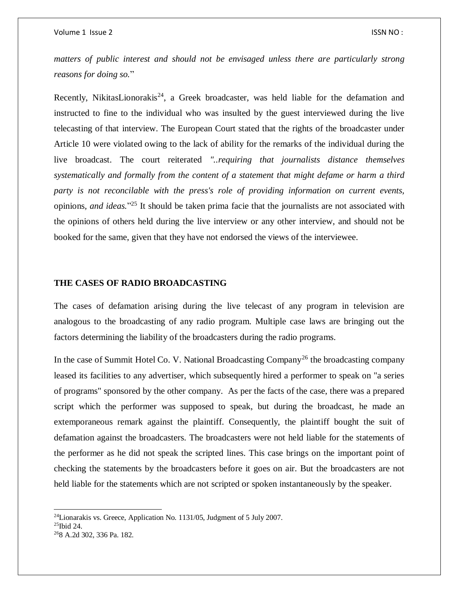*matters of public interest and should not be envisaged unless there are particularly strong reasons for doing so.*"

Recently, NikitasLionorakis<sup>24</sup>, a Greek broadcaster, was held liable for the defamation and instructed to fine to the individual who was insulted by the guest interviewed during the live telecasting of that interview. The European Court stated that the rights of the broadcaster under Article 10 were violated owing to the lack of ability for the remarks of the individual during the live broadcast. The court reiterated *"..requiring that journalists distance themselves systematically and formally from the content of a statement that might defame or harm a third party is not reconcilable with the press's role of providing information on current events,*  opinions*, and ideas.*" <sup>25</sup> It should be taken prima facie that the journalists are not associated with the opinions of others held during the live interview or any other interview, and should not be booked for the same, given that they have not endorsed the views of the interviewee.

# **THE CASES OF RADIO BROADCASTING**

The cases of defamation arising during the live telecast of any program in television are analogous to the broadcasting of any radio program. Multiple case laws are bringing out the factors determining the liability of the broadcasters during the radio programs.

In the case of Summit Hotel Co. V. National Broadcasting Company<sup>26</sup> the broadcasting company leased its facilities to any advertiser, which subsequently hired a performer to speak on "a series of programs" sponsored by the other company. As per the facts of the case, there was a prepared script which the performer was supposed to speak, but during the broadcast, he made an extemporaneous remark against the plaintiff. Consequently, the plaintiff bought the suit of defamation against the broadcasters. The broadcasters were not held liable for the statements of the performer as he did not speak the scripted lines. This case brings on the important point of checking the statements by the broadcasters before it goes on air. But the broadcasters are not held liable for the statements which are not scripted or spoken instantaneously by the speaker.

 $\overline{a}$ 

 $^{24}$ Lionarakis vs. Greece, Application No. 1131/05, Judgment of 5 July 2007.

 $25$ Ibid 24.

<sup>26</sup>8 A.2d 302, 336 Pa. 182.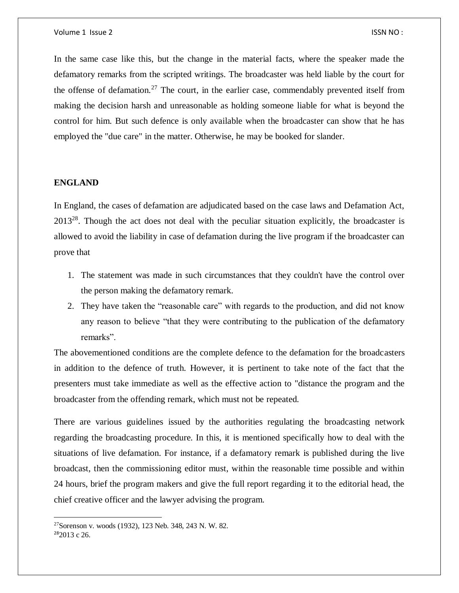In the same case like this, but the change in the material facts, where the speaker made the defamatory remarks from the scripted writings. The broadcaster was held liable by the court for the offense of defamation.<sup>27</sup> The court, in the earlier case, commendably prevented itself from making the decision harsh and unreasonable as holding someone liable for what is beyond the control for him. But such defence is only available when the broadcaster can show that he has employed the "due care" in the matter. Otherwise, he may be booked for slander.

# **ENGLAND**

In England, the cases of defamation are adjudicated based on the case laws and Defamation Act,  $2013^{28}$ . Though the act does not deal with the peculiar situation explicitly, the broadcaster is allowed to avoid the liability in case of defamation during the live program if the broadcaster can prove that

- 1. The statement was made in such circumstances that they couldn't have the control over the person making the defamatory remark.
- 2. They have taken the "reasonable care" with regards to the production, and did not know any reason to believe "that they were contributing to the publication of the defamatory remarks".

The abovementioned conditions are the complete defence to the defamation for the broadcasters in addition to the defence of truth. However, it is pertinent to take note of the fact that the presenters must take immediate as well as the effective action to "distance the program and the broadcaster from the offending remark, which must not be repeated.

There are various guidelines issued by the authorities regulating the broadcasting network regarding the broadcasting procedure. In this, it is mentioned specifically how to deal with the situations of live defamation. For instance, if a defamatory remark is published during the live broadcast, then the commissioning editor must, within the reasonable time possible and within 24 hours, brief the program makers and give the full report regarding it to the editorial head, the chief creative officer and the lawyer advising the program.

 $\overline{\phantom{a}}$ 

<sup>27</sup>Sorenson v. woods (1932), 123 Neb. 348, 243 N. W. 82.

<sup>28</sup>2013 c 26.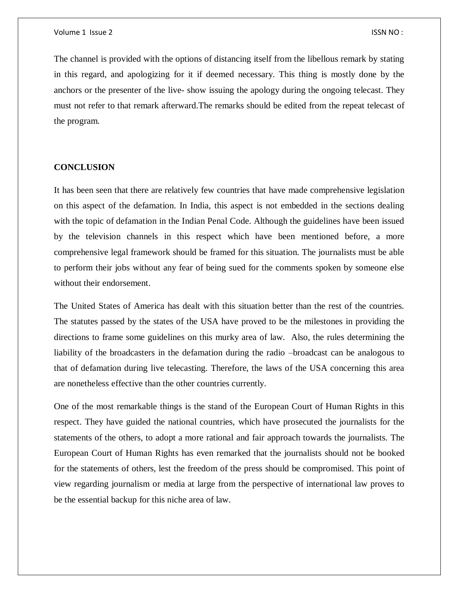The channel is provided with the options of distancing itself from the libellous remark by stating in this regard, and apologizing for it if deemed necessary. This thing is mostly done by the anchors or the presenter of the live- show issuing the apology during the ongoing telecast. They must not refer to that remark afterward.The remarks should be edited from the repeat telecast of the program.

## **CONCLUSION**

It has been seen that there are relatively few countries that have made comprehensive legislation on this aspect of the defamation. In India, this aspect is not embedded in the sections dealing with the topic of defamation in the Indian Penal Code. Although the guidelines have been issued by the television channels in this respect which have been mentioned before, a more comprehensive legal framework should be framed for this situation. The journalists must be able to perform their jobs without any fear of being sued for the comments spoken by someone else without their endorsement.

The United States of America has dealt with this situation better than the rest of the countries. The statutes passed by the states of the USA have proved to be the milestones in providing the directions to frame some guidelines on this murky area of law. Also, the rules determining the liability of the broadcasters in the defamation during the radio –broadcast can be analogous to that of defamation during live telecasting. Therefore, the laws of the USA concerning this area are nonetheless effective than the other countries currently.

One of the most remarkable things is the stand of the European Court of Human Rights in this respect. They have guided the national countries, which have prosecuted the journalists for the statements of the others, to adopt a more rational and fair approach towards the journalists. The European Court of Human Rights has even remarked that the journalists should not be booked for the statements of others, lest the freedom of the press should be compromised. This point of view regarding journalism or media at large from the perspective of international law proves to be the essential backup for this niche area of law.